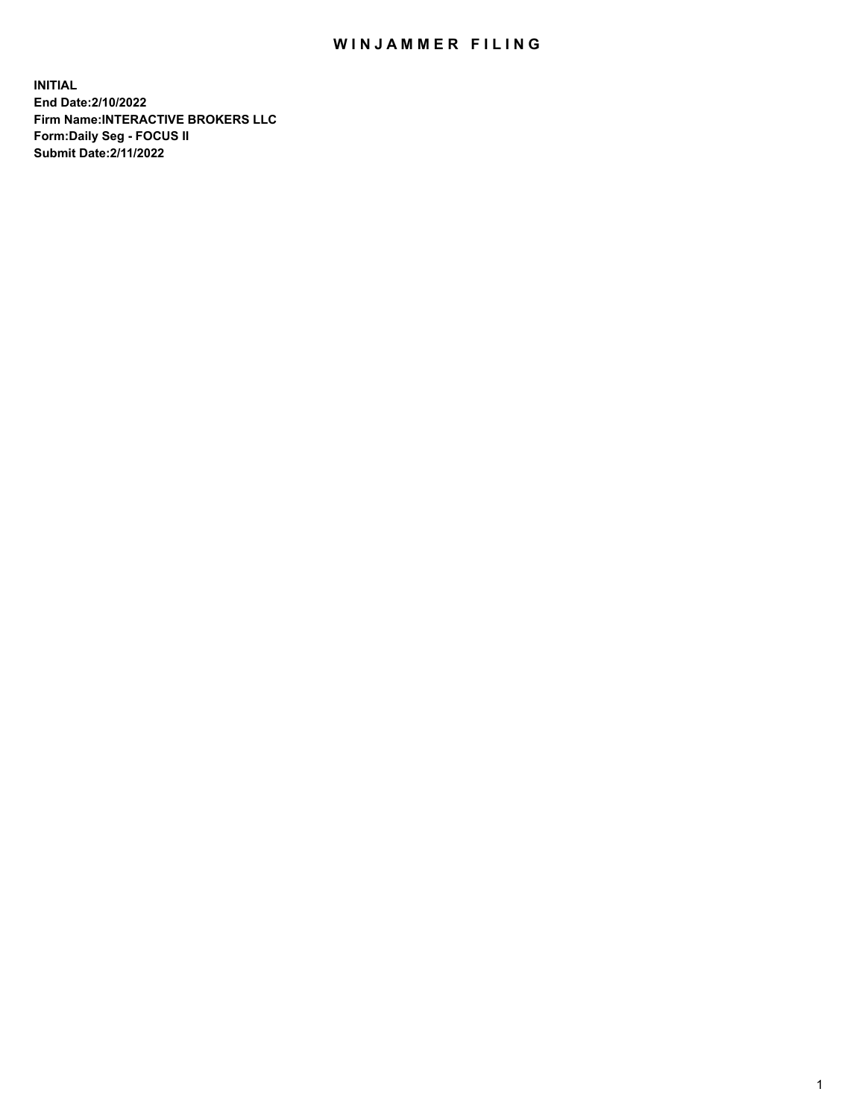## WIN JAMMER FILING

**INITIAL End Date:2/10/2022 Firm Name:INTERACTIVE BROKERS LLC Form:Daily Seg - FOCUS II Submit Date:2/11/2022**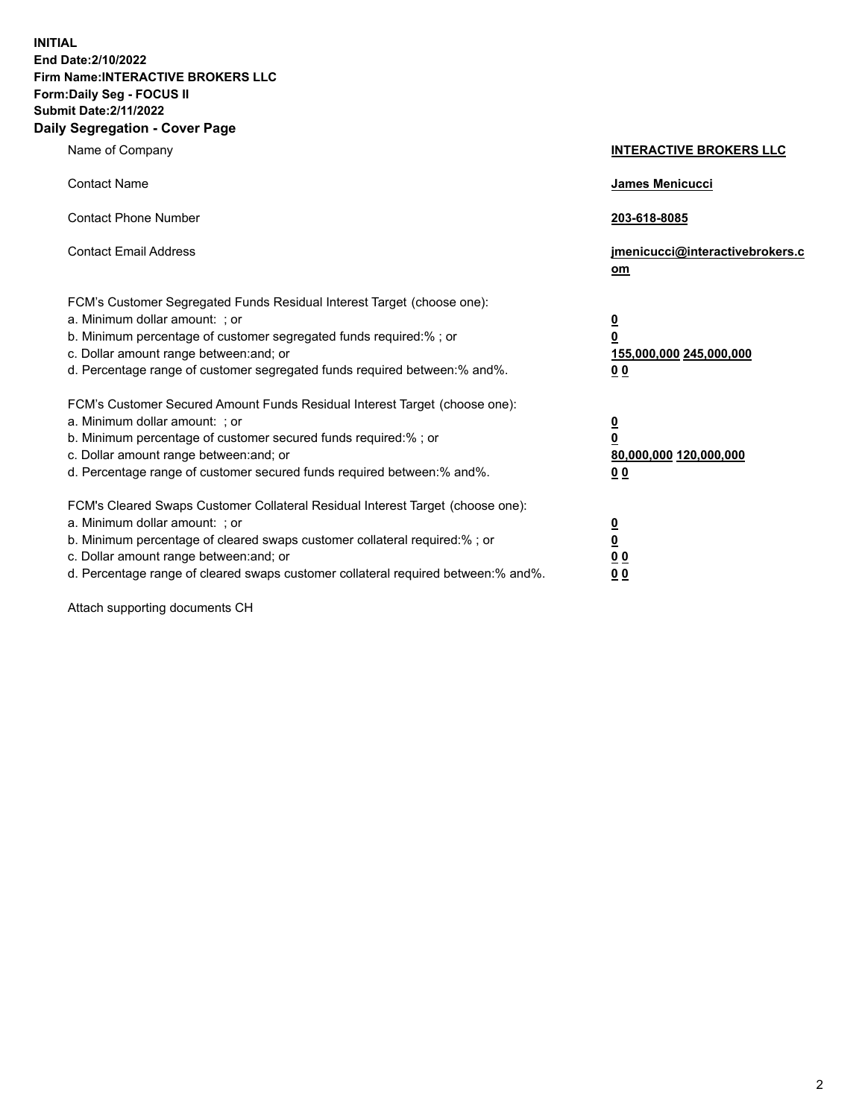**INITIAL End Date:2/10/2022 Firm Name:INTERACTIVE BROKERS LLC Form:Daily Seg - FOCUS II Submit Date:2/11/2022 Daily Segregation - Cover Page**

| Name of Company                                                                                                                                                                                                                                                                                                                | <b>INTERACTIVE BROKERS LLC</b>                                                                  |
|--------------------------------------------------------------------------------------------------------------------------------------------------------------------------------------------------------------------------------------------------------------------------------------------------------------------------------|-------------------------------------------------------------------------------------------------|
| <b>Contact Name</b>                                                                                                                                                                                                                                                                                                            | <b>James Menicucci</b>                                                                          |
| <b>Contact Phone Number</b>                                                                                                                                                                                                                                                                                                    | 203-618-8085                                                                                    |
| <b>Contact Email Address</b>                                                                                                                                                                                                                                                                                                   | jmenicucci@interactivebrokers.c<br>om                                                           |
| FCM's Customer Segregated Funds Residual Interest Target (choose one):<br>a. Minimum dollar amount: ; or<br>b. Minimum percentage of customer segregated funds required:%; or<br>c. Dollar amount range between: and; or<br>d. Percentage range of customer segregated funds required between:% and%.                          | $\overline{\mathbf{0}}$<br>$\overline{\mathbf{0}}$<br>155,000,000 245,000,000<br>0 <sub>0</sub> |
| FCM's Customer Secured Amount Funds Residual Interest Target (choose one):<br>a. Minimum dollar amount: ; or<br>b. Minimum percentage of customer secured funds required:%; or<br>c. Dollar amount range between: and; or<br>d. Percentage range of customer secured funds required between:% and%.                            | <u>0</u><br>$\overline{\mathbf{0}}$<br>80,000,000 120,000,000<br>0 <sub>0</sub>                 |
| FCM's Cleared Swaps Customer Collateral Residual Interest Target (choose one):<br>a. Minimum dollar amount: ; or<br>b. Minimum percentage of cleared swaps customer collateral required:% ; or<br>c. Dollar amount range between: and; or<br>d. Percentage range of cleared swaps customer collateral required between:% and%. | $\overline{\mathbf{0}}$<br>$\underline{\mathbf{0}}$<br>0 <sub>0</sub><br>00                     |

Attach supporting documents CH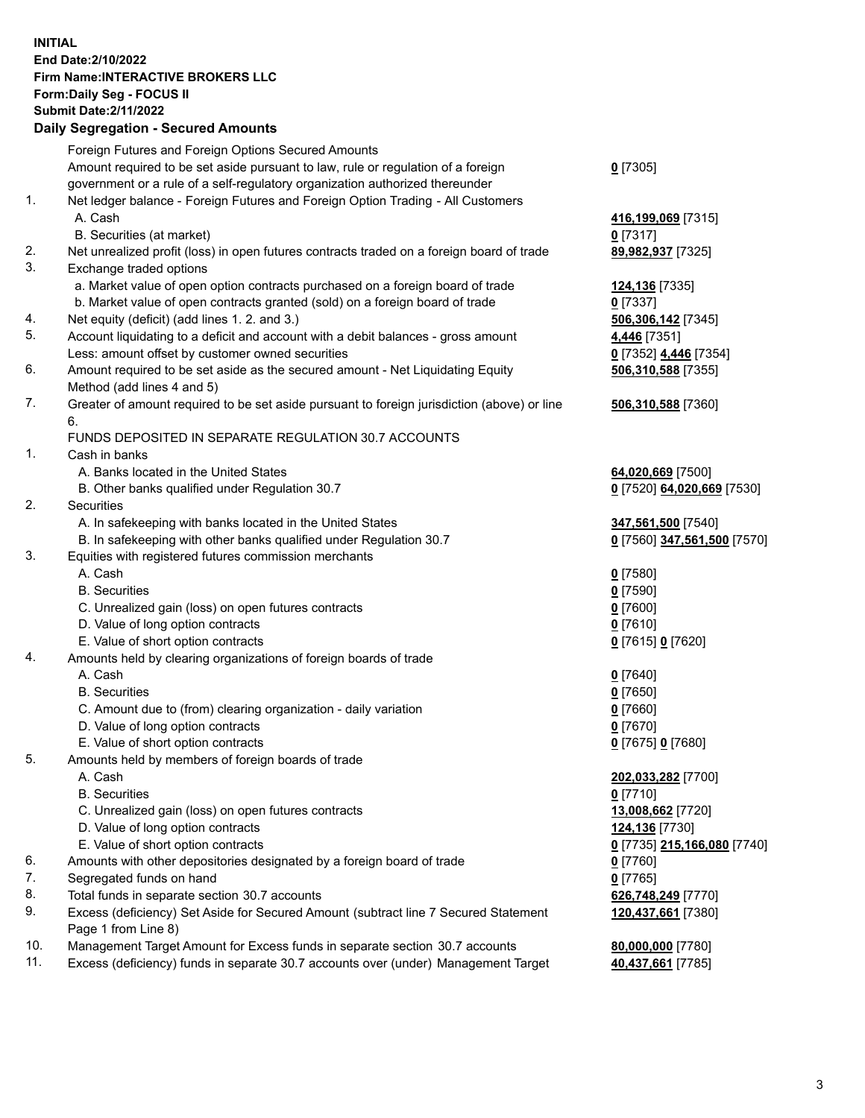**INITIAL End Date:2/10/2022 Firm Name:INTERACTIVE BROKERS LLC Form:Daily Seg - FOCUS II Submit Date:2/11/2022 Daily Segregation - Secured Amounts**

|                | Daily Ocglegation - Occuled Anioants                                                                       |                             |
|----------------|------------------------------------------------------------------------------------------------------------|-----------------------------|
|                | Foreign Futures and Foreign Options Secured Amounts                                                        |                             |
|                | Amount required to be set aside pursuant to law, rule or regulation of a foreign                           | $0$ [7305]                  |
|                | government or a rule of a self-regulatory organization authorized thereunder                               |                             |
| 1.             | Net ledger balance - Foreign Futures and Foreign Option Trading - All Customers                            |                             |
|                | A. Cash                                                                                                    | 416,199,069 [7315]          |
|                | B. Securities (at market)                                                                                  | $0$ [7317]                  |
| 2.             | Net unrealized profit (loss) in open futures contracts traded on a foreign board of trade                  | 89,982,937 [7325]           |
| 3.             | Exchange traded options                                                                                    |                             |
|                | a. Market value of open option contracts purchased on a foreign board of trade                             | 124,136 [7335]              |
|                | b. Market value of open contracts granted (sold) on a foreign board of trade                               | $0$ [7337]                  |
| 4.             | Net equity (deficit) (add lines 1. 2. and 3.)                                                              | 506,306,142 [7345]          |
| 5.             | Account liquidating to a deficit and account with a debit balances - gross amount                          | 4,446 [7351]                |
|                | Less: amount offset by customer owned securities                                                           | 0 [7352] 4,446 [7354]       |
| 6.             | Amount required to be set aside as the secured amount - Net Liquidating Equity                             | 506,310,588 [7355]          |
|                | Method (add lines 4 and 5)                                                                                 |                             |
| 7.             | Greater of amount required to be set aside pursuant to foreign jurisdiction (above) or line                | 506,310,588 [7360]          |
|                | 6.                                                                                                         |                             |
|                | FUNDS DEPOSITED IN SEPARATE REGULATION 30.7 ACCOUNTS                                                       |                             |
| $\mathbf{1}$ . | Cash in banks                                                                                              |                             |
|                | A. Banks located in the United States                                                                      | 64,020,669 [7500]           |
|                | B. Other banks qualified under Regulation 30.7                                                             | 0 [7520] 64,020,669 [7530]  |
| 2.             | <b>Securities</b>                                                                                          |                             |
|                | A. In safekeeping with banks located in the United States                                                  | 347,561,500 [7540]          |
|                | B. In safekeeping with other banks qualified under Regulation 30.7                                         | 0 [7560] 347,561,500 [7570] |
| 3.             | Equities with registered futures commission merchants                                                      |                             |
|                | A. Cash                                                                                                    | $0$ [7580]                  |
|                | <b>B.</b> Securities                                                                                       | $0$ [7590]                  |
|                | C. Unrealized gain (loss) on open futures contracts                                                        | $0$ [7600]                  |
|                | D. Value of long option contracts                                                                          | $0$ [7610]                  |
|                | E. Value of short option contracts                                                                         | 0 [7615] 0 [7620]           |
| 4.             | Amounts held by clearing organizations of foreign boards of trade                                          |                             |
|                | A. Cash                                                                                                    | $0$ [7640]                  |
|                | <b>B.</b> Securities                                                                                       | $0$ [7650]                  |
|                | C. Amount due to (from) clearing organization - daily variation                                            | $0$ [7660]                  |
|                | D. Value of long option contracts                                                                          | $0$ [7670]                  |
|                | E. Value of short option contracts                                                                         | 0 [7675] 0 [7680]           |
| 5.             | Amounts held by members of foreign boards of trade                                                         |                             |
|                | A. Cash                                                                                                    | 202,033,282 [7700]          |
|                | <b>B.</b> Securities                                                                                       | $0$ [7710]                  |
|                | C. Unrealized gain (loss) on open futures contracts                                                        | 13,008,662 [7720]           |
|                | D. Value of long option contracts                                                                          | 124,136 [7730]              |
|                | E. Value of short option contracts                                                                         | 0 [7735] 215,166,080 [7740] |
| 6.             | Amounts with other depositories designated by a foreign board of trade                                     | $0$ [7760]                  |
| 7.             | Segregated funds on hand                                                                                   | $0$ [7765]                  |
| 8.             | Total funds in separate section 30.7 accounts                                                              | 626,748,249 [7770]          |
| 9.             | Excess (deficiency) Set Aside for Secured Amount (subtract line 7 Secured Statement<br>Page 1 from Line 8) | 120,437,661 [7380]          |
| 10.            | Management Target Amount for Excess funds in separate section 30.7 accounts                                | 80,000,000 [7780]           |
| 11.            | Excess (deficiency) funds in separate 30.7 accounts over (under) Management Target                         | 40,437,661 [7785]           |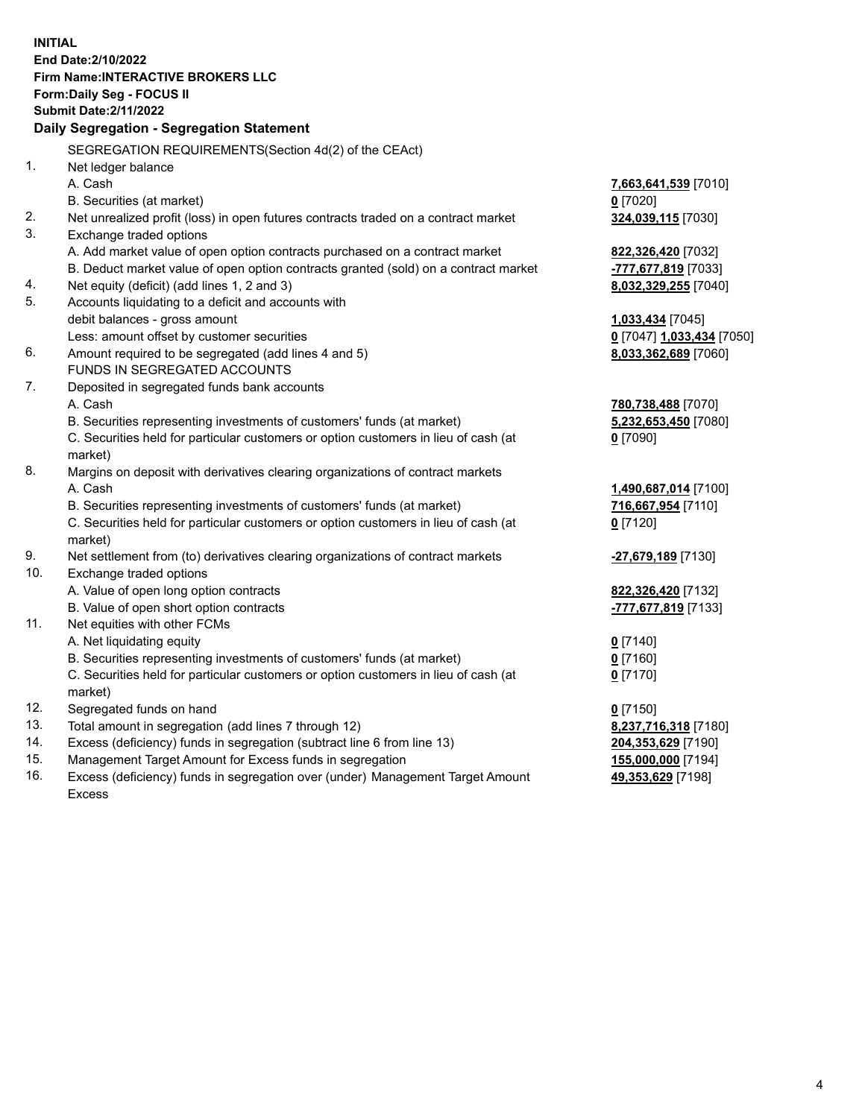**INITIAL End Date:2/10/2022 Firm Name:INTERACTIVE BROKERS LLC Form:Daily Seg - FOCUS II Submit Date:2/11/2022 Daily Segregation - Segregation Statement** SEGREGATION REQUIREMENTS(Section 4d(2) of the CEAct) 1. Net ledger balance A. Cash **7,663,641,539** [7010] B. Securities (at market) **0** [7020] 2. Net unrealized profit (loss) in open futures contracts traded on a contract market **324,039,115** [7030] 3. Exchange traded options A. Add market value of open option contracts purchased on a contract market **822,326,420** [7032] B. Deduct market value of open option contracts granted (sold) on a contract market **-777,677,819** [7033] 4. Net equity (deficit) (add lines 1, 2 and 3) **8,032,329,255** [7040] 5. Accounts liquidating to a deficit and accounts with debit balances - gross amount **1,033,434** [7045] Less: amount offset by customer securities **0** [7047] **1,033,434** [7050] 6. Amount required to be segregated (add lines 4 and 5) **8,033,362,689** [7060] FUNDS IN SEGREGATED ACCOUNTS 7. Deposited in segregated funds bank accounts A. Cash **780,738,488** [7070] B. Securities representing investments of customers' funds (at market) **5,232,653,450** [7080] C. Securities held for particular customers or option customers in lieu of cash (at market) **0** [7090] 8. Margins on deposit with derivatives clearing organizations of contract markets A. Cash **1,490,687,014** [7100] B. Securities representing investments of customers' funds (at market) **716,667,954** [7110] C. Securities held for particular customers or option customers in lieu of cash (at market) **0** [7120] 9. Net settlement from (to) derivatives clearing organizations of contract markets **-27,679,189** [7130] 10. Exchange traded options A. Value of open long option contracts **822,326,420** [7132] B. Value of open short option contracts **-777,677,819** [7133] 11. Net equities with other FCMs A. Net liquidating equity **0** [7140] B. Securities representing investments of customers' funds (at market) **0** [7160] C. Securities held for particular customers or option customers in lieu of cash (at market) **0** [7170] 12. Segregated funds on hand **0** [7150] 13. Total amount in segregation (add lines 7 through 12) **8,237,716,318** [7180] 14. Excess (deficiency) funds in segregation (subtract line 6 from line 13) **204,353,629** [7190] 15. Management Target Amount for Excess funds in segregation **155,000,000** [7194] 16. Excess (deficiency) funds in segregation over (under) Management Target Amount **49,353,629** [7198]

Excess